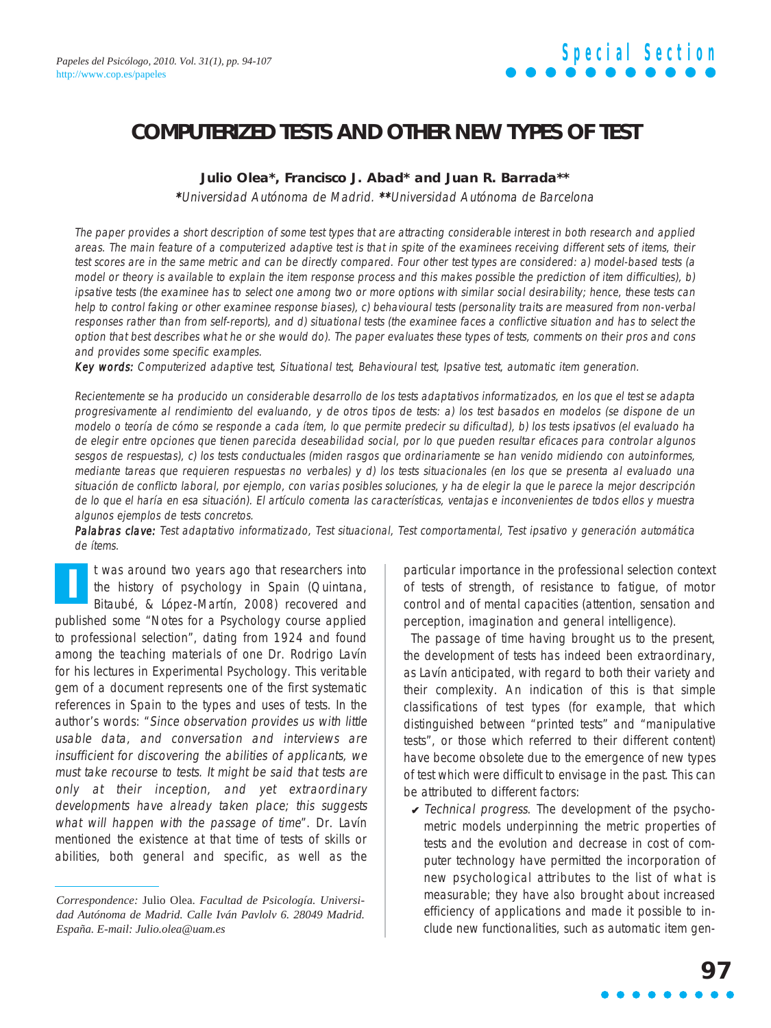### **COMPUTERIZED TESTS AND OTHER NEW TYPES OF TEST**

### **Julio Olea\*, Francisco J. Abad\* and Juan R. Barrada\*\***

\*Universidad Autónoma de Madrid. \*\*Universidad Autónoma de Barcelona

The paper provides a short description of some test types that are attracting considerable interest in both research and applied areas. The main feature of a computerized adaptive test is that in spite of the examinees receiving different sets of items, their test scores are in the same metric and can be directly compared. Four other test types are considered: a) model-based tests (a model or theory is available to explain the item response process and this makes possible the prediction of item difficulties), b) ipsative tests (the examinee has to select one among two or more options with similar social desirability; hence, these tests can help to control faking or other examinee response biases), c) behavioural tests (personality traits are measured from non-verbal responses rather than from self-reports), and d) situational tests (the examinee faces a conflictive situation and has to select the option that best describes what he or she would do). The paper evaluates these types of tests, comments on their pros and cons and provides some specific examples.

Key words: Computerized adaptive test, Situational test, Behavioural test, Ipsative test, automatic item generation.

Recientemente se ha producido un considerable desarrollo de los tests adaptativos informatizados, en los que el test se adapta progresivamente al rendimiento del evaluando, y de otros tipos de tests: a) los test basados en modelos (se dispone de un modelo o teoría de cómo se responde a cada ítem, lo que permite predecir su dificultad), b) los tests ipsativos (el evaluado ha de elegir entre opciones que tienen parecida deseabilidad social, por lo que pueden resultar eficaces para controlar algunos sesgos de respuestas), c) los tests conductuales (miden rasgos que ordinariamente se han venido midiendo con autoinformes, mediante tareas que requieren respuestas no verbales) y d) los tests situacionales (en los que se presenta al evaluado una situación de conflicto laboral, por ejemplo, con varias posibles soluciones, y ha de elegir la que le parece la mejor descripción de lo que el haría en esa situación). El artículo comenta las características, ventajas e inconvenientes de todos ellos y muestra algunos ejemplos de tests concretos.

Palabras clave: Test adaptativo informatizado, Test situacional, Test comportamental, Test ipsativo y generación automática de ítems.

t was around two years ago that researchers into the history of psychology in Spain (Quintana, Bitaubé, & López-Martín, 2008) recovered and published some "Notes for a Psychology course applied to professional selection", dating from 1924 and found among the teaching materials of one Dr. Rodrigo Lavín for his lectures in Experimental Psychology. This veritable gem of a document represents one of the first systematic references in Spain to the types and uses of tests. In the author's words: "Since observation provides us with little usable data, and conversation and interviews are insufficient for discovering the abilities of applicants, we must take recourse to tests. It might be said that tests are only at their inception, and yet extraordinary developments have already taken place; this suggests what will happen with the passage of time". Dr. Lavín mentioned the existence at that time of tests of skills or abilities, both general and specific, as well as the **I**

particular importance in the professional selection context of tests of strength, of resistance to fatigue, of motor control and of mental capacities (attention, sensation and perception, imagination and general intelligence).

The passage of time having brought us to the present, the development of tests has indeed been extraordinary, as Lavín anticipated, with regard to both their variety and their complexity. An indication of this is that simple classifications of test types (for example, that which distinguished between "printed tests" and "manipulative tests", or those which referred to their different content) have become obsolete due to the emergence of new types of test which were difficult to envisage in the past. This can be attributed to different factors:

 $\vee$  Technical progress. The development of the psychometric models underpinning the metric properties of tests and the evolution and decrease in cost of computer technology have permitted the incorporation of new psychological attributes to the list of what is measurable; they have also brought about increased efficiency of applications and made it possible to include new functionalities, such as automatic item gen-

*Correspondence:* Julio Olea. *Facultad de Psicología. Universidad Autónoma de Madrid. Calle Iván Pavlolv 6. 28049 Madrid. España. E-mail: Julio.olea@uam.es*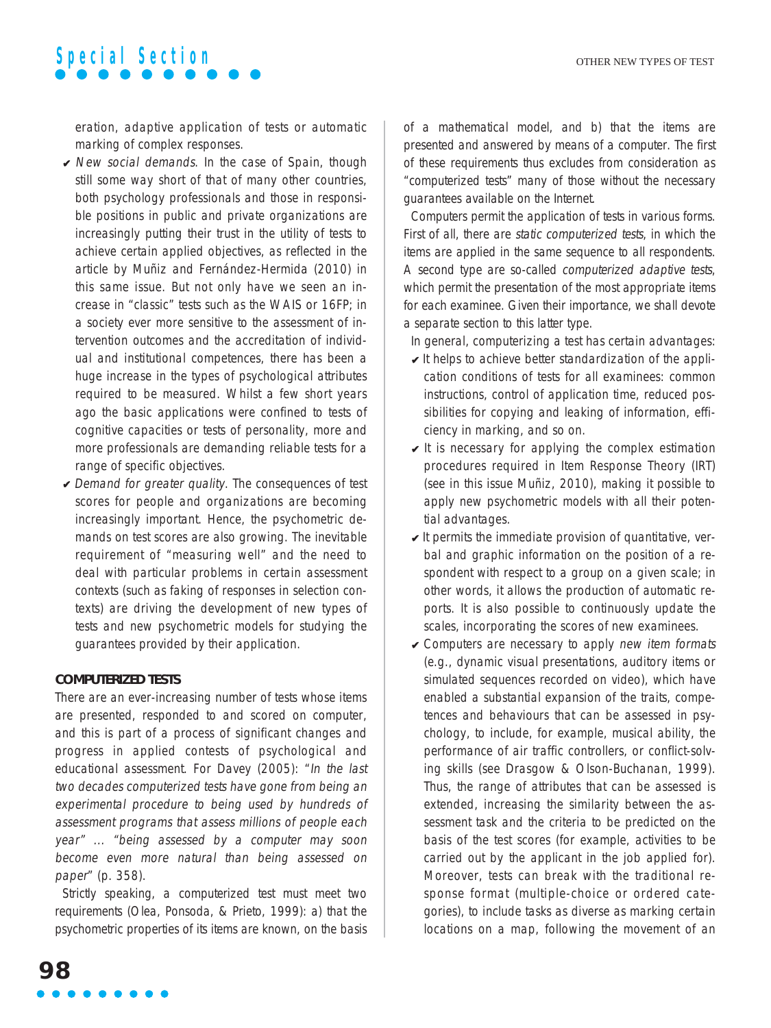eration, adaptive application of tests or automatic marking of complex responses.

- $\vee$  New social demands. In the case of Spain, though still some way short of that of many other countries, both psychology professionals and those in responsible positions in public and private organizations are increasingly putting their trust in the utility of tests to achieve certain applied objectives, as reflected in the article by Muñiz and Fernández-Hermida (2010) in this same issue. But not only have we seen an increase in "classic" tests such as the WAIS or 16FP; in a society ever more sensitive to the assessment of intervention outcomes and the accreditation of individual and institutional competences, there has been a huge increase in the types of psychological attributes required to be measured. Whilst a few short years ago the basic applications were confined to tests of cognitive capacities or tests of personality, more and more professionals are demanding reliable tests for a range of specific objectives.
- $\vee$  Demand for greater quality. The consequences of test scores for people and organizations are becoming increasingly important. Hence, the psychometric demands on test scores are also growing. The inevitable requirement of "measuring well" and the need to deal with particular problems in certain assessment contexts (such as faking of responses in selection contexts) are driving the development of new types of tests and new psychometric models for studying the guarantees provided by their application.

#### **COMPUTERIZED TESTS**

There are an ever-increasing number of tests whose items are presented, responded to and scored on computer, and this is part of a process of significant changes and progress in applied contests of psychological and educational assessment. For Davey (2005): "In the last two decades computerized tests have gone from being an experimental procedure to being used by hundreds of assessment programs that assess millions of people each year" ... "being assessed by a computer may soon become even more natural than being assessed on paper" (p. 358).

Strictly speaking, a computerized test must meet two requirements (Olea, Ponsoda, & Prieto, 1999): a) that the psychometric properties of its items are known, on the basis

of a mathematical model, and b) that the items are presented and answered by means of a computer. The first of these requirements thus excludes from consideration as "computerized tests" many of those without the necessary guarantees available on the Internet.

Computers permit the application of tests in various forms. First of all, there are static computerized tests, in which the items are applied in the same sequence to all respondents. A second type are so-called computerized adaptive tests, which permit the presentation of the most appropriate items for each examinee. Given their importance, we shall devote a separate section to this latter type.

In general, computerizing a test has certain advantages:

- $\vee$  It helps to achieve better standardization of the application conditions of tests for all examinees: common instructions, control of application time, reduced possibilities for copying and leaking of information, efficiency in marking, and so on.
- $\vee$  It is necessary for applying the complex estimation procedures required in Item Response Theory (IRT) (see in this issue Muñiz, 2010), making it possible to apply new psychometric models with all their potential advantages.
- $\vee$  It permits the immediate provision of quantitative, verbal and graphic information on the position of a respondent with respect to a group on a given scale; in other words, it allows the production of automatic reports. It is also possible to continuously update the scales, incorporating the scores of new examinees.
- $\vee$  Computers are necessary to apply new item formats (e.g., dynamic visual presentations, auditory items or simulated sequences recorded on video), which have enabled a substantial expansion of the traits, competences and behaviours that can be assessed in psychology, to include, for example, musical ability, the performance of air traffic controllers, or conflict-solving skills (see Drasgow & Olson-Buchanan, 1999). Thus, the range of attributes that can be assessed is extended, increasing the similarity between the assessment task and the criteria to be predicted on the basis of the test scores (for example, activities to be carried out by the applicant in the job applied for). Moreover, tests can break with the traditional response format (multiple-choice or ordered categories), to include tasks as diverse as marking certain locations on a map, following the movement of an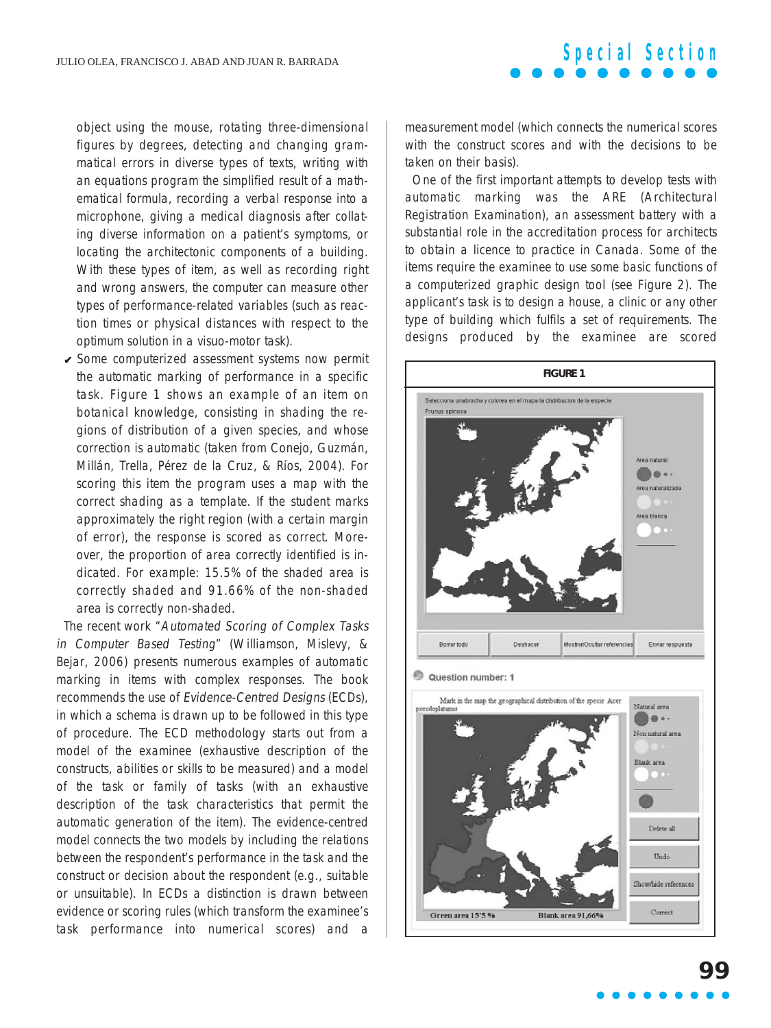object using the mouse, rotating three-dimensional figures by degrees, detecting and changing grammatical errors in diverse types of texts, writing with an equations program the simplified result of a mathematical formula, recording a verbal response into a microphone, giving a medical diagnosis after collating diverse information on a patient's symptoms, or locating the architectonic components of a building. With these types of item, as well as recording right and wrong answers, the computer can measure other types of performance-related variables (such as reaction times or physical distances with respect to the optimum solution in a visuo-motor task).

 $\checkmark$  Some computerized assessment systems now permit the automatic marking of performance in a specific task. Figure 1 shows an example of an item on botanical knowledge, consisting in shading the regions of distribution of a given species, and whose correction is automatic (taken from Conejo, Guzmán, Millán, Trella, Pérez de la Cruz, & Ríos, 2004). For scoring this item the program uses a map with the correct shading as a template. If the student marks approximately the right region (with a certain margin of error), the response is scored as correct. Moreover, the proportion of area correctly identified is indicated. For example: 15.5% of the shaded area is correctly shaded and 91.66% of the non-shaded area is correctly non-shaded.

The recent work "Automated Scoring of Complex Tasks in Computer Based Testing" (Williamson, Mislevy, & Bejar, 2006) presents numerous examples of automatic marking in items with complex responses. The book recommends the use of Evidence-Centred Designs (ECDs), in which a schema is drawn up to be followed in this type of procedure. The ECD methodology starts out from a model of the examinee (exhaustive description of the constructs, abilities or skills to be measured) and a model of the task or family of tasks (with an exhaustive description of the task characteristics that permit the automatic generation of the item). The evidence-centred model connects the two models by including the relations between the respondent's performance in the task and the construct or decision about the respondent (e.g., suitable or unsuitable). In ECDs a distinction is drawn between evidence or scoring rules (which transform the examinee's task performance into numerical scores) and a

measurement model (which connects the numerical scores with the construct scores and with the decisions to be taken on their basis).

**Special Section**

One of the first important attempts to develop tests with automatic marking was the ARE (Architectural Registration Examination), an assessment battery with a substantial role in the accreditation process for architects to obtain a licence to practice in Canada. Some of the items require the examinee to use some basic functions of a computerized graphic design tool (see Figure 2). The applicant's task is to design a house, a clinic or any other type of building which fulfils a set of requirements. The designs produced by the examinee are scored

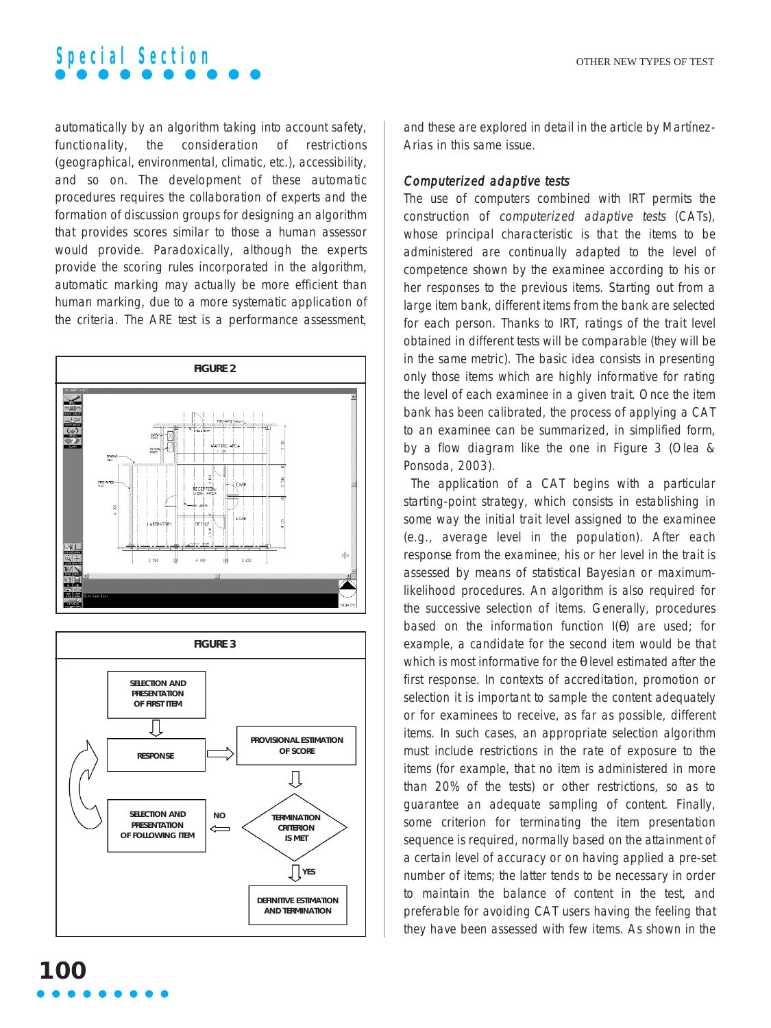

automatically by an algorithm taking into account safety, functionality, the consideration of restrictions (geographical, environmental, climatic, etc.), accessibility, and so on. The development of these automatic procedures requires the collaboration of experts and the formation of discussion groups for designing an algorithm that provides scores similar to those a human assessor would provide. Paradoxically, although the experts provide the scoring rules incorporated in the algorithm, automatic marking may actually be more efficient than human marking, due to a more systematic application of the criteria. The ARE test is a performance assessment,





and these are explored in detail in the article by Martínez-Arias in this same issue.

#### Computerized adaptive tests

The use of computers combined with IRT permits the construction of computerized adaptive tests (CATs), whose principal characteristic is that the items to be administered are continually adapted to the level of competence shown by the examinee according to his or her responses to the previous items. Starting out from a large item bank, different items from the bank are selected for each person. Thanks to IRT, ratings of the trait level obtained in different tests will be comparable (they will be in the same metric). The basic idea consists in presenting only those items which are highly informative for rating the level of each examinee in a given trait. Once the item bank has been calibrated, the process of applying a CAT to an examinee can be summarized, in simplified form, by a flow diagram like the one in Figure 3 (Olea & Ponsoda, 2003).

The application of a CAT begins with a particular starting-point strategy, which consists in establishing in some way the initial trait level assigned to the examinee (e.g., average level in the population). After each response from the examinee, his or her level in the trait is assessed by means of statistical Bayesian or maximumlikelihood procedures. An algorithm is also required for the successive selection of items. Generally, procedures based on the information function I(θ) are used; for example, a candidate for the second item would be that which is most informative for the θ level estimated after the first response. In contexts of accreditation, promotion or selection it is important to sample the content adequately or for examinees to receive, as far as possible, different items. In such cases, an appropriate selection algorithm must include restrictions in the rate of exposure to the items (for example, that no item is administered in more than 20% of the tests) or other restrictions, so as to guarantee an adequate sampling of content. Finally, some criterion for terminating the item presentation sequence is required, normally based on the attainment of a certain level of accuracy or on having applied a pre-set number of items; the latter tends to be necessary in order to maintain the balance of content in the test, and preferable for avoiding CAT users having the feeling that they have been assessed with few items. As shown in the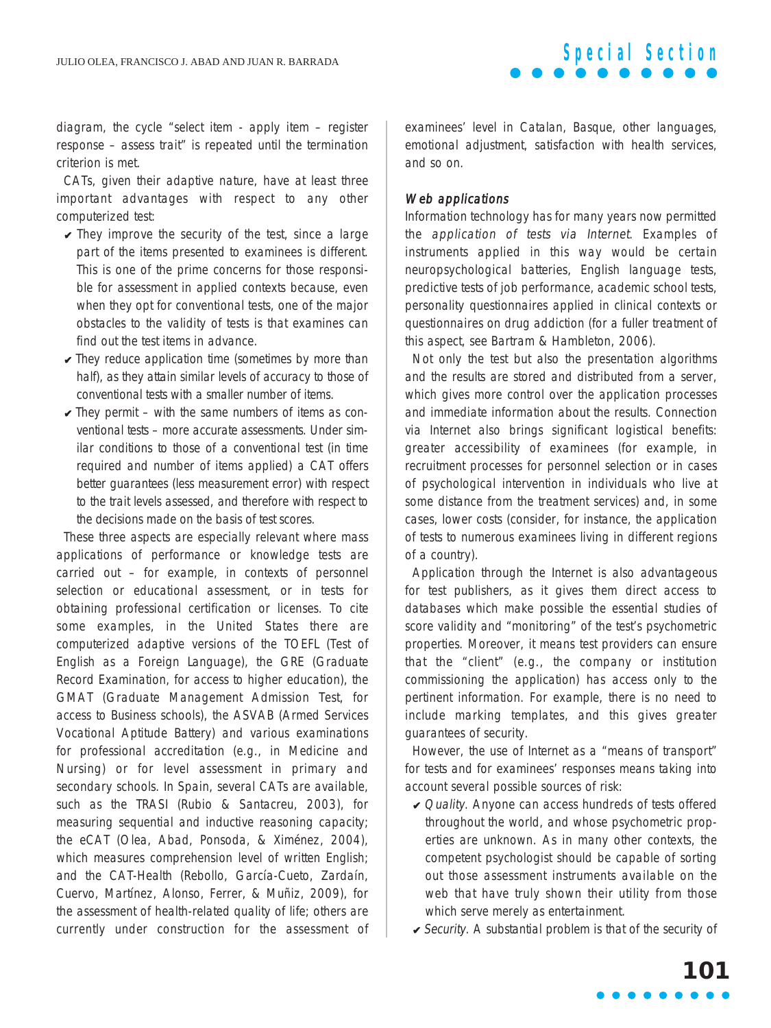diagram, the cycle "select item - apply item – register response – assess trait" is repeated until the termination criterion is met.

CATs, given their adaptive nature, have at least three important advantages with respect to any other computerized test:

- $\sqrt{\ }$  They improve the security of the test, since a large part of the items presented to examinees is different. This is one of the prime concerns for those responsible for assessment in applied contexts because, even when they opt for conventional tests, one of the major obstacles to the validity of tests is that examines can find out the test items in advance.
- $\vee$  They reduce application time (sometimes by more than half), as they attain similar levels of accuracy to those of conventional tests with a smaller number of items.
- $\vee$  They permit with the same numbers of items as conventional tests – more accurate assessments. Under similar conditions to those of a conventional test (in time required and number of items applied) a CAT offers better guarantees (less measurement error) with respect to the trait levels assessed, and therefore with respect to the decisions made on the basis of test scores.

These three aspects are especially relevant where mass applications of performance or knowledge tests are carried out – for example, in contexts of personnel selection or educational assessment, or in tests for obtaining professional certification or licenses. To cite some examples, in the United States there are computerized adaptive versions of the TOEFL (Test of English as a Foreign Language), the GRE (Graduate Record Examination, for access to higher education), the GMAT (Graduate Management Admission Test, for access to Business schools), the ASVAB (Armed Services Vocational Aptitude Battery) and various examinations for professional accreditation (e.g., in Medicine and Nursing) or for level assessment in primary and secondary schools. In Spain, several CATs are available, such as the TRASI (Rubio & Santacreu, 2003), for measuring sequential and inductive reasoning capacity; the eCAT (Olea, Abad, Ponsoda, & Ximénez, 2004), which measures comprehension level of written English; and the CAT-Health (Rebollo, García-Cueto, Zardaín, Cuervo, Martínez, Alonso, Ferrer, & Muñiz, 2009), for the assessment of health-related quality of life; others are currently under construction for the assessment of examinees' level in Catalan, Basque, other languages, emotional adjustment, satisfaction with health services, and so on.

#### Web applications

Information technology has for many years now permitted the application of tests via Internet. Examples of instruments applied in this way would be certain neuropsychological batteries, English language tests, predictive tests of job performance, academic school tests, personality questionnaires applied in clinical contexts or questionnaires on drug addiction (for a fuller treatment of this aspect, see Bartram & Hambleton, 2006).

Not only the test but also the presentation algorithms and the results are stored and distributed from a server, which gives more control over the application processes and immediate information about the results. Connection via Internet also brings significant logistical benefits: greater accessibility of examinees (for example, in recruitment processes for personnel selection or in cases of psychological intervention in individuals who live at some distance from the treatment services) and, in some cases, lower costs (consider, for instance, the application of tests to numerous examinees living in different regions of a country).

Application through the Internet is also advantageous for test publishers, as it gives them direct access to databases which make possible the essential studies of score validity and "monitoring" of the test's psychometric properties. Moreover, it means test providers can ensure that the "client" (e.g., the company or institution commissioning the application) has access only to the pertinent information. For example, there is no need to include marking templates, and this gives greater guarantees of security.

However, the use of Internet as a "means of transport" for tests and for examinees' responses means taking into account several possible sources of risk:

- ✔ Quality. Anyone can access hundreds of tests offered throughout the world, and whose psychometric properties are unknown. As in many other contexts, the competent psychologist should be capable of sorting out those assessment instruments available on the web that have truly shown their utility from those which serve merely as entertainment.
- $\checkmark$  Security. A substantial problem is that of the security of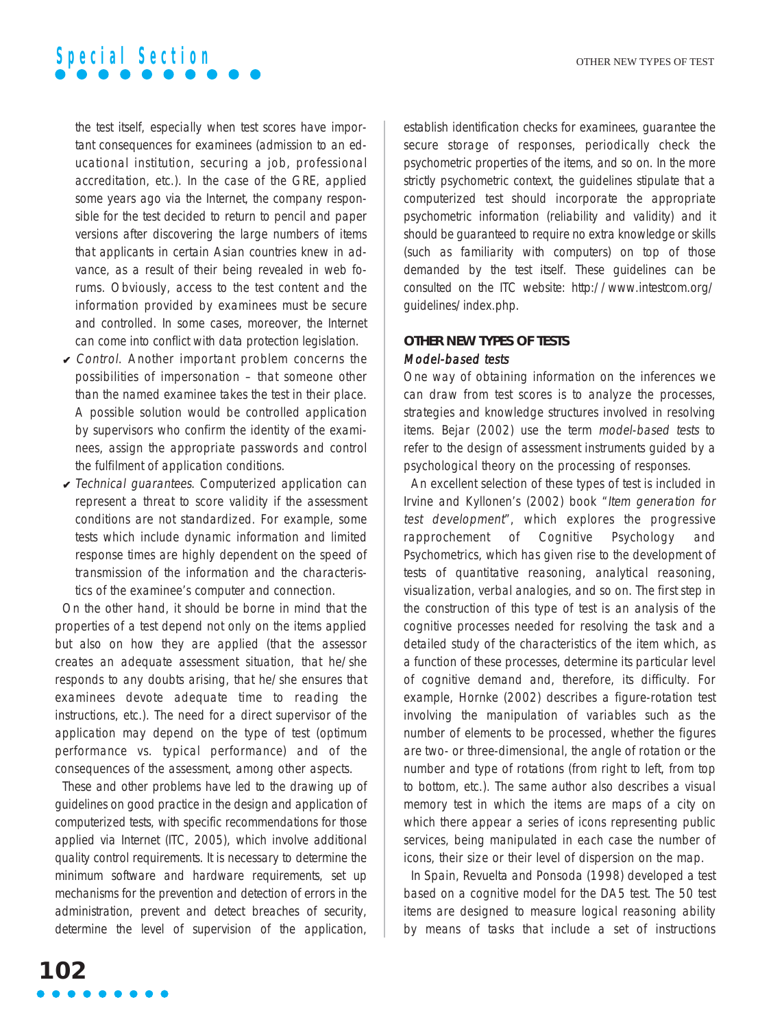the test itself, especially when test scores have important consequences for examinees (admission to an educational institution, securing a job, professional accreditation, etc.). In the case of the GRE, applied some years ago via the Internet, the company responsible for the test decided to return to pencil and paper versions after discovering the large numbers of items that applicants in certain Asian countries knew in advance, as a result of their being revealed in web forums. Obviously, access to the test content and the information provided by examinees must be secure and controlled. In some cases, moreover, the Internet can come into conflict with data protection legislation.

- $\vee$  Control. Another important problem concerns the possibilities of impersonation – that someone other than the named examinee takes the test in their place. A possible solution would be controlled application by supervisors who confirm the identity of the examinees, assign the appropriate passwords and control the fulfilment of application conditions.
- $\checkmark$  Technical guarantees. Computerized application can represent a threat to score validity if the assessment conditions are not standardized. For example, some tests which include dynamic information and limited response times are highly dependent on the speed of transmission of the information and the characteristics of the examinee's computer and connection.

On the other hand, it should be borne in mind that the properties of a test depend not only on the items applied but also on how they are applied (that the assessor creates an adequate assessment situation, that he/she responds to any doubts arising, that he/she ensures that examinees devote adequate time to reading the instructions, etc.). The need for a direct supervisor of the application may depend on the type of test (optimum performance vs. typical performance) and of the consequences of the assessment, among other aspects.

These and other problems have led to the drawing up of guidelines on good practice in the design and application of computerized tests, with specific recommendations for those applied via Internet (ITC, 2005), which involve additional quality control requirements. It is necessary to determine the minimum software and hardware requirements, set up mechanisms for the prevention and detection of errors in the administration, prevent and detect breaches of security, determine the level of supervision of the application, establish identification checks for examinees, guarantee the secure storage of responses, periodically check the psychometric properties of the items, and so on. In the more strictly psychometric context, the guidelines stipulate that a computerized test should incorporate the appropriate psychometric information (reliability and validity) and it should be guaranteed to require no extra knowledge or skills (such as familiarity with computers) on top of those demanded by the test itself. These guidelines can be consulted on the ITC website: http://www.intestcom.org/ guidelines/index.php.

### **OTHER NEW TYPES OF TESTS** Model-based tests

One way of obtaining information on the inferences we can draw from test scores is to analyze the processes, strategies and knowledge structures involved in resolving items. Bejar (2002) use the term model-based tests to refer to the design of assessment instruments guided by a psychological theory on the processing of responses.

An excellent selection of these types of test is included in Irvine and Kyllonen's (2002) book "Item generation for test development", which explores the progressive rapprochement of Cognitive Psychology and Psychometrics, which has given rise to the development of tests of quantitative reasoning, analytical reasoning, visualization, verbal analogies, and so on. The first step in the construction of this type of test is an analysis of the cognitive processes needed for resolving the task and a detailed study of the characteristics of the item which, as a function of these processes, determine its particular level of cognitive demand and, therefore, its difficulty. For example, Hornke (2002) describes a figure-rotation test involving the manipulation of variables such as the number of elements to be processed, whether the figures are two- or three-dimensional, the angle of rotation or the number and type of rotations (from right to left, from top to bottom, etc.). The same author also describes a visual memory test in which the items are maps of a city on which there appear a series of icons representing public services, being manipulated in each case the number of icons, their size or their level of dispersion on the map.

In Spain, Revuelta and Ponsoda (1998) developed a test based on a cognitive model for the DA5 test. The 50 test items are designed to measure logical reasoning ability by means of tasks that include a set of instructions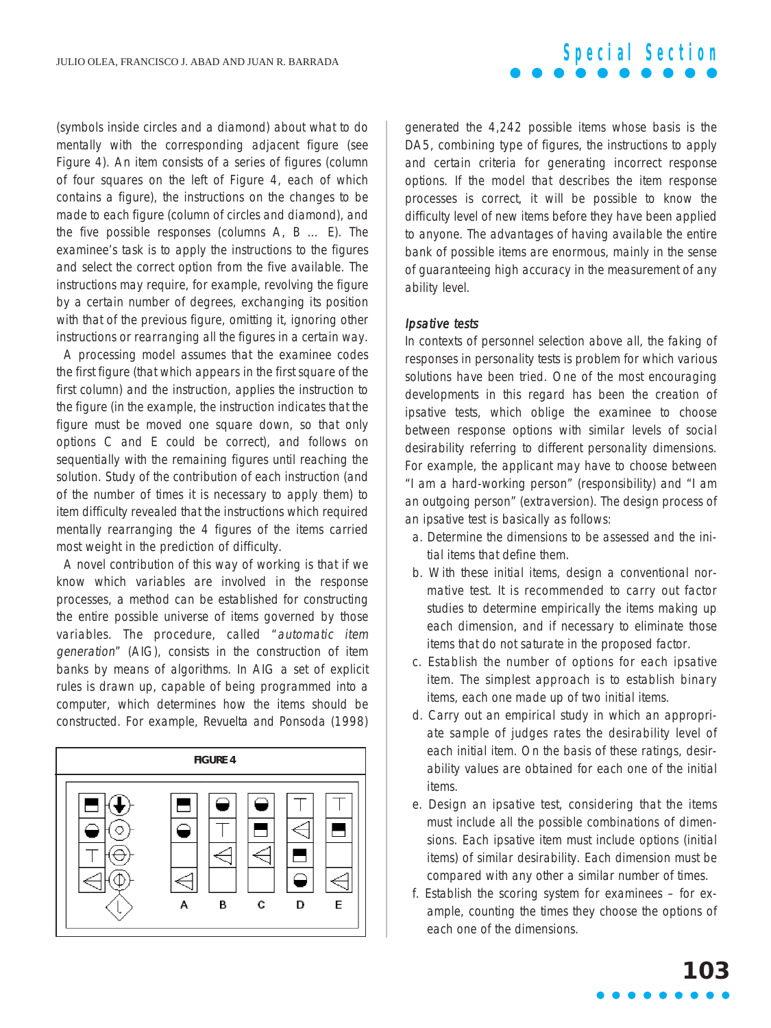### (symbols inside circles and a diamond) about what to do mentally with the corresponding adjacent figure (see Figure 4). An item consists of a series of figures (column of four squares on the left of Figure 4, each of which contains a figure), the instructions on the changes to be made to each figure (column of circles and diamond), and the five possible responses (columns A, B … E). The examinee's task is to apply the instructions to the figures and select the correct option from the five available. The instructions may require, for example, revolving the figure by a certain number of degrees, exchanging its position with that of the previous figure, omitting it, ignoring other instructions or rearranging all the figures in a certain way.

A processing model assumes that the examinee codes the first figure (that which appears in the first square of the first column) and the instruction, applies the instruction to the figure (in the example, the instruction indicates that the figure must be moved one square down, so that only options C and E could be correct), and follows on sequentially with the remaining figures until reaching the solution. Study of the contribution of each instruction (and of the number of times it is necessary to apply them) to item difficulty revealed that the instructions which required mentally rearranging the 4 figures of the items carried most weight in the prediction of difficulty.

A novel contribution of this way of working is that if we know which variables are involved in the response processes, a method can be established for constructing the entire possible universe of items governed by those variables. The procedure, called "automatic item generation" (AIG), consists in the construction of item banks by means of algorithms. In AIG a set of explicit rules is drawn up, capable of being programmed into a computer, which determines how the items should be constructed. For example, Revuelta and Ponsoda (1998)



generated the 4,242 possible items whose basis is the DA5, combining type of figures, the instructions to apply and certain criteria for generating incorrect response options. If the model that describes the item response processes is correct, it will be possible to know the difficulty level of new items before they have been applied to anyone. The advantages of having available the entire bank of possible items are enormous, mainly in the sense of guaranteeing high accuracy in the measurement of any ability level.

**Special Section**

#### Ipsative tests

In contexts of personnel selection above all, the faking of responses in personality tests is problem for which various solutions have been tried. One of the most encouraging developments in this regard has been the creation of ipsative tests, which oblige the examinee to choose between response options with similar levels of social desirability referring to different personality dimensions. For example, the applicant may have to choose between "I am a hard-working person" (responsibility) and "I am an outgoing person" (extraversion). The design process of an ipsative test is basically as follows:

- a. Determine the dimensions to be assessed and the initial items that define them.
- b. With these initial items, design a conventional normative test. It is recommended to carry out factor studies to determine empirically the items making up each dimension, and if necessary to eliminate those items that do not saturate in the proposed factor.
- c. Establish the number of options for each ipsative item. The simplest approach is to establish binary items, each one made up of two initial items.
- d. Carry out an empirical study in which an appropriate sample of judges rates the desirability level of each initial item. On the basis of these ratings, desirability values are obtained for each one of the initial items.
- e. Design an ipsative test, considering that the items must include all the possible combinations of dimensions. Each ipsative item must include options (initial items) of similar desirability. Each dimension must be compared with any other a similar number of times.
- f. Establish the scoring system for examinees for example, counting the times they choose the options of each one of the dimensions.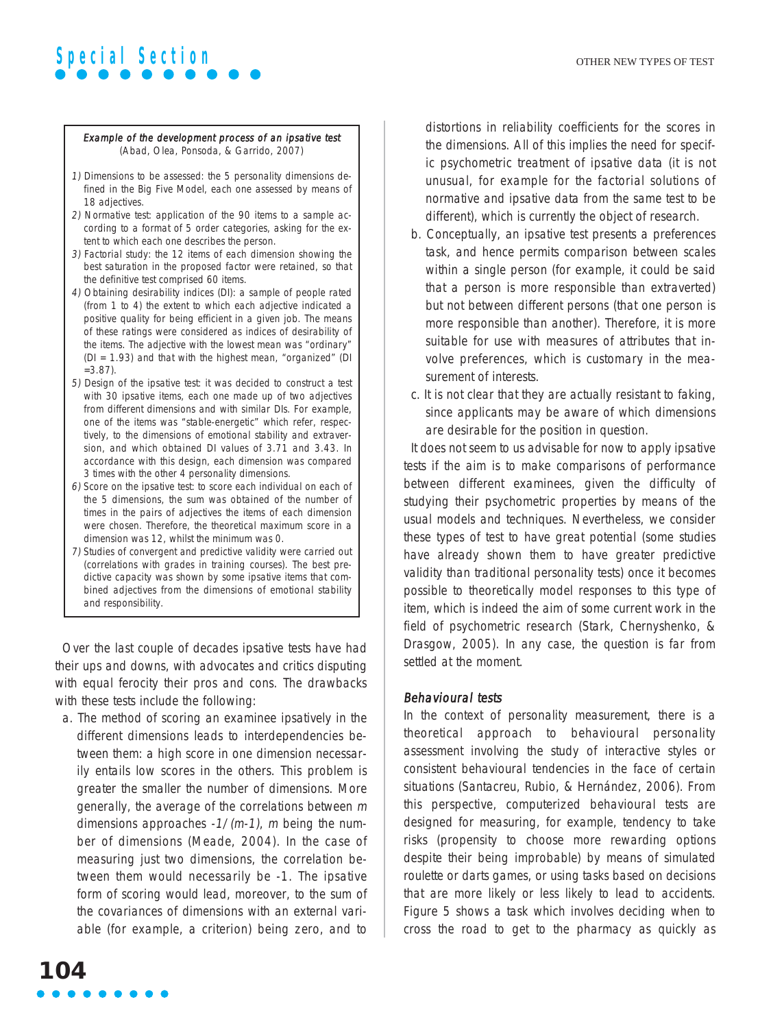#### Example of the development process of an ipsative test (Abad, Olea, Ponsoda, & Garrido, 2007)

- 1) Dimensions to be assessed: the 5 personality dimensions defined in the Big Five Model, each one assessed by means of 18 adjectives.
- 2) Normative test: application of the 90 items to a sample according to a format of 5 order categories, asking for the extent to which each one describes the person.
- 3) Factorial study: the 12 items of each dimension showing the best saturation in the proposed factor were retained, so that the definitive test comprised 60 items.
- 4) Obtaining desirability indices (DI): a sample of people rated (from 1 to 4) the extent to which each adjective indicated a positive quality for being efficient in a given job. The means of these ratings were considered as indices of desirability of the items. The adjective with the lowest mean was "ordinary" (DI = 1.93) and that with the highest mean, "organized" (DI  $=3.87$ ).
- 5) Design of the ipsative test: it was decided to construct a test with 30 ipsative items, each one made up of two adjectives from different dimensions and with similar DIs. For example, one of the items was "stable-energetic" which refer, respectively, to the dimensions of emotional stability and extraversion, and which obtained DI values of 3.71 and 3.43. In accordance with this design, each dimension was compared 3 times with the other 4 personality dimensions.
- 6) Score on the ipsative test: to score each individual on each of the 5 dimensions, the sum was obtained of the number of times in the pairs of adjectives the items of each dimension were chosen. Therefore, the theoretical maximum score in a dimension was 12, whilst the minimum was 0.
- 7) Studies of convergent and predictive validity were carried out (correlations with grades in training courses). The best predictive capacity was shown by some ipsative items that combined adjectives from the dimensions of emotional stability and responsibility.

Over the last couple of decades ipsative tests have had their ups and downs, with advocates and critics disputing with equal ferocity their pros and cons. The drawbacks with these tests include the following:

a. The method of scoring an examinee ipsatively in the different dimensions leads to interdependencies between them: a high score in one dimension necessarily entails low scores in the others. This problem is greater the smaller the number of dimensions. More generally, the average of the correlations between <sup>m</sup> dimensions approaches  $-1/(m-1)$ , m being the number of dimensions (Meade, 2004). In the case of measuring just two dimensions, the correlation between them would necessarily be -1. The ipsative form of scoring would lead, moreover, to the sum of the covariances of dimensions with an external variable (for example, a criterion) being zero, and to

distortions in reliability coefficients for the scores in the dimensions. All of this implies the need for specific psychometric treatment of ipsative data (it is not unusual, for example for the factorial solutions of normative and ipsative data from the same test to be different), which is currently the object of research.

- b. Conceptually, an ipsative test presents a preferences task, and hence permits comparison between scales within a single person (for example, it could be said that a person is more responsible than extraverted) but not between different persons (that one person is more responsible than another). Therefore, it is more suitable for use with measures of attributes that involve preferences, which is customary in the measurement of interests.
- c. It is not clear that they are actually resistant to faking, since applicants may be aware of which dimensions are desirable for the position in question.

It does not seem to us advisable for now to apply ipsative tests if the aim is to make comparisons of performance between different examinees, given the difficulty of studying their psychometric properties by means of the usual models and techniques. Nevertheless, we consider these types of test to have great potential (some studies have already shown them to have greater predictive validity than traditional personality tests) once it becomes possible to theoretically model responses to this type of item, which is indeed the aim of some current work in the field of psychometric research (Stark, Chernyshenko, & Drasgow, 2005). In any case, the question is far from settled at the moment.

### Behavioural tests

In the context of personality measurement, there is a theoretical approach to behavioural personality assessment involving the study of interactive styles or consistent behavioural tendencies in the face of certain situations (Santacreu, Rubio, & Hernández, 2006). From this perspective, computerized behavioural tests are designed for measuring, for example, tendency to take risks (propensity to choose more rewarding options despite their being improbable) by means of simulated roulette or darts games, or using tasks based on decisions that are more likely or less likely to lead to accidents. Figure 5 shows a task which involves deciding when to cross the road to get to the pharmacy as quickly as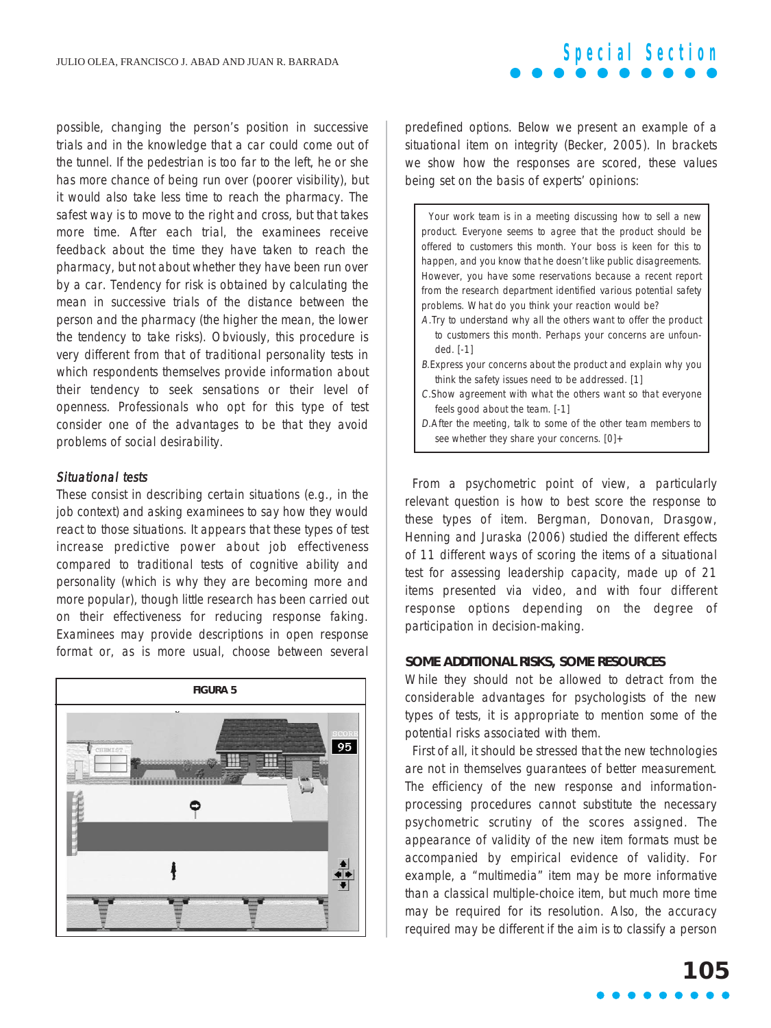possible, changing the person's position in successive trials and in the knowledge that a car could come out of the tunnel. If the pedestrian is too far to the left, he or she has more chance of being run over (poorer visibility), but it would also take less time to reach the pharmacy. The safest way is to move to the right and cross, but that takes more time. After each trial, the examinees receive feedback about the time they have taken to reach the pharmacy, but not about whether they have been run over by a car. Tendency for risk is obtained by calculating the mean in successive trials of the distance between the person and the pharmacy (the higher the mean, the lower the tendency to take risks). Obviously, this procedure is very different from that of traditional personality tests in which respondents themselves provide information about their tendency to seek sensations or their level of openness. Professionals who opt for this type of test consider one of the advantages to be that they avoid problems of social desirability.

#### Situational tests

These consist in describing certain situations (e.g., in the job context) and asking examinees to say how they would react to those situations. It appears that these types of test increase predictive power about job effectiveness compared to traditional tests of cognitive ability and personality (which is why they are becoming more and more popular), though little research has been carried out on their effectiveness for reducing response faking. Examinees may provide descriptions in open response format or, as is more usual, choose between several



predefined options. Below we present an example of a situational item on integrity (Becker, 2005). In brackets we show how the responses are scored, these values being set on the basis of experts' opinions:

**Special Section**

Your work team is in a meeting discussing how to sell a new product. Everyone seems to agree that the product should be offered to customers this month. Your boss is keen for this to happen, and you know that he doesn't like public disagreements. However, you have some reservations because a recent report from the research department identified various potential safety problems. What do you think your reaction would be?

- A.Try to understand why all the others want to offer the product to customers this month. Perhaps your concerns are unfounded. [-1]
- B.Express your concerns about the product and explain why you think the safety issues need to be addressed. [1]
- C.Show agreement with what the others want so that everyone feels good about the team. [-1]
- D.After the meeting, talk to some of the other team members to see whether they share your concerns. [0]+

From a psychometric point of view, a particularly relevant question is how to best score the response to these types of item. Bergman, Donovan, Drasgow, Henning and Juraska (2006) studied the different effects of 11 different ways of scoring the items of a situational test for assessing leadership capacity, made up of 21 items presented via video, and with four different response options depending on the degree of participation in decision-making.

#### **SOME ADDITIONAL RISKS, SOME RESOURCES**

While they should not be allowed to detract from the considerable advantages for psychologists of the new types of tests, it is appropriate to mention some of the potential risks associated with them.

First of all, it should be stressed that the new technologies are not in themselves guarantees of better measurement. The efficiency of the new response and informationprocessing procedures cannot substitute the necessary psychometric scrutiny of the scores assigned. The appearance of validity of the new item formats must be accompanied by empirical evidence of validity. For example, a "multimedia" item may be more informative than a classical multiple-choice item, but much more time may be required for its resolution. Also, the accuracy required may be different if the aim is to classify a person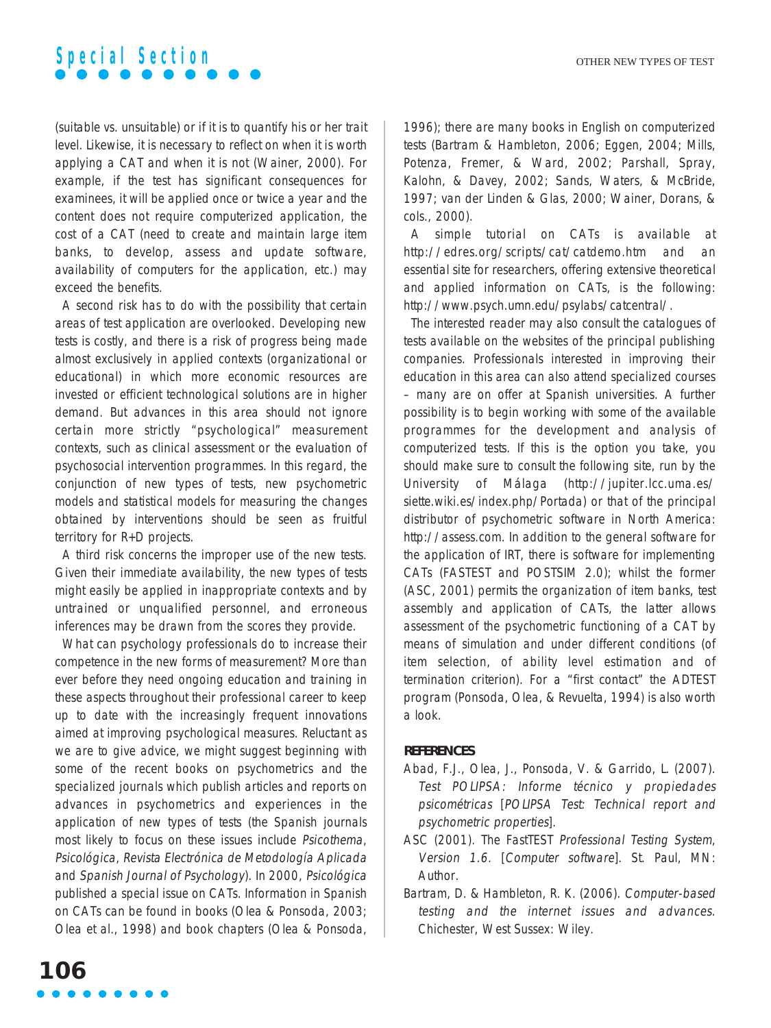(suitable vs. unsuitable) or if it is to quantify his or her trait level. Likewise, it is necessary to reflect on when it is worth applying a CAT and when it is not (Wainer, 2000). For example, if the test has significant consequences for examinees, it will be applied once or twice a year and the content does not require computerized application, the cost of a CAT (need to create and maintain large item banks, to develop, assess and update software, availability of computers for the application, etc.) may exceed the benefits.

A second risk has to do with the possibility that certain areas of test application are overlooked. Developing new tests is costly, and there is a risk of progress being made almost exclusively in applied contexts (organizational or educational) in which more economic resources are invested or efficient technological solutions are in higher demand. But advances in this area should not ignore certain more strictly "psychological" measurement contexts, such as clinical assessment or the evaluation of psychosocial intervention programmes. In this regard, the conjunction of new types of tests, new psychometric models and statistical models for measuring the changes obtained by interventions should be seen as fruitful territory for R+D projects.

A third risk concerns the improper use of the new tests. Given their immediate availability, the new types of tests might easily be applied in inappropriate contexts and by untrained or unqualified personnel, and erroneous inferences may be drawn from the scores they provide.

What can psychology professionals do to increase their competence in the new forms of measurement? More than ever before they need ongoing education and training in these aspects throughout their professional career to keep up to date with the increasingly frequent innovations aimed at improving psychological measures. Reluctant as we are to give advice, we might suggest beginning with some of the recent books on psychometrics and the specialized journals which publish articles and reports on advances in psychometrics and experiences in the application of new types of tests (the Spanish journals most likely to focus on these issues include Psicothema, Psicológica, Revista Electrónica de Metodología Aplicada and Spanish Journal of Psychology). In 2000, Psicológica published a special issue on CATs. Information in Spanish on CATs can be found in books (Olea & Ponsoda, 2003; Olea et al., 1998) and book chapters (Olea & Ponsoda, 1996); there are many books in English on computerized tests (Bartram & Hambleton, 2006; Eggen, 2004; Mills, Potenza, Fremer, & Ward, 2002; Parshall, Spray, Kalohn, & Davey, 2002; Sands, Waters, & McBride, 1997; van der Linden & Glas, 2000; Wainer, Dorans, & cols., 2000).

A simple tutorial on CATs is available at http://edres.org/scripts/cat/catdemo.htm and an essential site for researchers, offering extensive theoretical and applied information on CATs, is the following: http://www.psych.umn.edu/psylabs/catcentral/.

The interested reader may also consult the catalogues of tests available on the websites of the principal publishing companies. Professionals interested in improving their education in this area can also attend specialized courses – many are on offer at Spanish universities. A further possibility is to begin working with some of the available programmes for the development and analysis of computerized tests. If this is the option you take, you should make sure to consult the following site, run by the University of Málaga (http://jupiter.lcc.uma.es/ siette.wiki.es/index.php/Portada) or that of the principal distributor of psychometric software in North America: http://assess.com. In addition to the general software for the application of IRT, there is software for implementing CATs (FASTEST and POSTSIM 2.0); whilst the former (ASC, 2001) permits the organization of item banks, test assembly and application of CATs, the latter allows assessment of the psychometric functioning of a CAT by means of simulation and under different conditions (of item selection, of ability level estimation and of termination criterion). For a "first contact" the ADTEST program (Ponsoda, Olea, & Revuelta, 1994) is also worth a look.

#### **REFERENCES**

- Abad, F.J., Olea, J., Ponsoda, V. & Garrido, L. (2007). Test POLIPSA: Informe técnico y propiedades psicométricas [POLIPSA Test: Technical report and psychometric properties].
- ASC (2001). The FastTEST Professional Testing System, Version 1.6. [Computer software]. St. Paul, MN: Author.
- Bartram, D. & Hambleton, R. K. (2006). Computer-based testing and the internet issues and advances. Chichester, West Sussex: Wiley.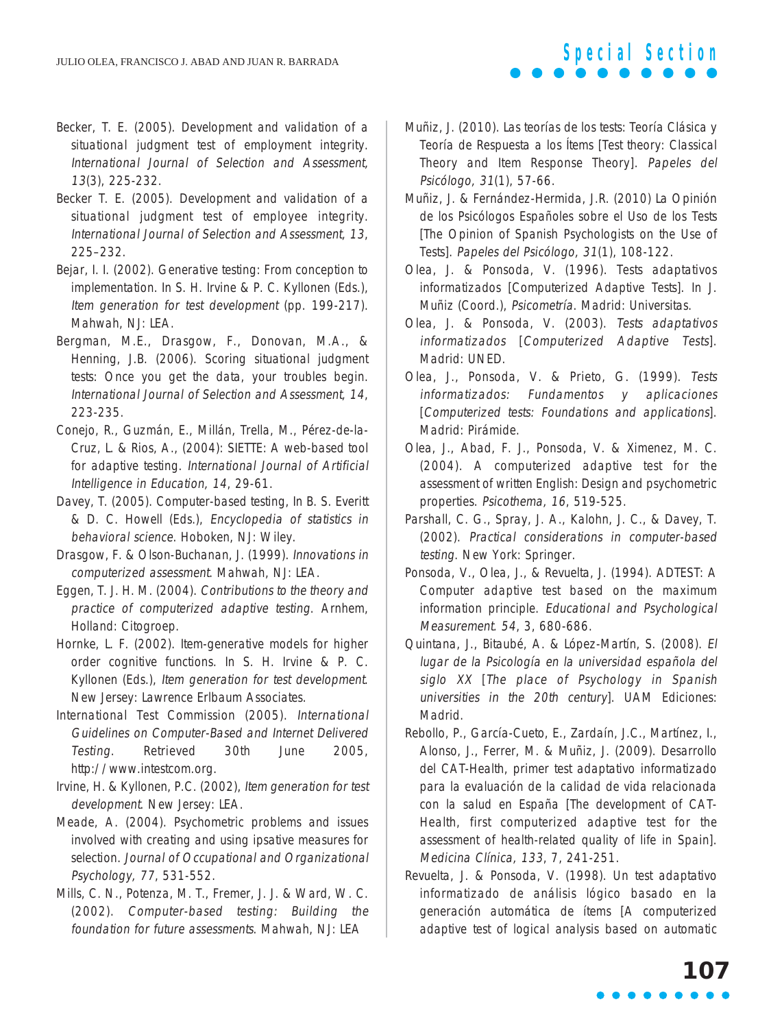- Becker, T. E. (2005). Development and validation of a situational judgment test of employment integrity. International Journal of Selection and Assessment, 13(3), 225-232.
- Becker T. E. (2005). Development and validation of a situational judgment test of employee integrity. International Journal of Selection and Assessment, 13, 225–232.
- Bejar, I. I. (2002). Generative testing: From conception to implementation. In S. H. Irvine & P. C. Kyllonen (Eds.), Item generation for test development (pp. 199-217). Mahwah, NJ: LEA.
- Bergman, M.E., Drasgow, F., Donovan, M.A., & Henning, J.B. (2006). Scoring situational judgment tests: Once you get the data, your troubles begin. International Journal of Selection and Assessment, 14, 223-235.
- Conejo, R., Guzmán, E., Millán, Trella, M., Pérez-de-la-Cruz, L. & Rios, A., (2004): SIETTE: A web-based tool for adaptive testing. International Journal of Artificial Intelligence in Education, 14, 29-61.
- Davey, T. (2005). Computer-based testing, In B. S. Everitt & D. C. Howell (Eds.), Encyclopedia of statistics in behavioral science. Hoboken, NJ: Wiley.
- Drasgow, F. & Olson-Buchanan, J. (1999). Innovations in computerized assessment. Mahwah, NJ: LEA.
- Eggen, T. J. H. M. (2004). Contributions to the theory and practice of computerized adaptive testing. Arnhem, Holland: Citogroep.
- Hornke, L. F. (2002). Item-generative models for higher order cognitive functions. In S. H. Irvine & P. C. Kyllonen (Eds.), Item generation for test development. New Jersey: Lawrence Erlbaum Associates.
- International Test Commission (2005). International Guidelines on Computer-Based and Internet Delivered Testing. Retrieved 30th June 2005, http://www.intestcom.org.
- Irvine, H. & Kyllonen, P.C. (2002), Item generation for test development. New Jersey: LEA.
- Meade, A. (2004). Psychometric problems and issues involved with creating and using ipsative measures for selection. Journal of Occupational and Organizational Psychology, 77, 531-552.
- Mills, C. N., Potenza, M. T., Fremer, J. J. & Ward, W. C. (2002). Computer-based testing: Building the foundation for future assessments. Mahwah, NJ: LEA
- Muñiz, J. (2010). Las teorías de los tests: Teoría Clásica y Teoría de Respuesta a los Ítems [Test theory: Classical Theory and Item Response Theory]. Papeles del Psicólogo, 31(1), 57-66.
- Muñiz, J. & Fernández-Hermida, J.R. (2010) La Opinión de los Psicólogos Españoles sobre el Uso de los Tests [The Opinion of Spanish Psychologists on the Use of Tests]. Papeles del Psicólogo, 31(1), 108-122.
- Olea, J. & Ponsoda, V. (1996). Tests adaptativos informatizados [Computerized Adaptive Tests]. In J. Muñiz (Coord.), Psicometría. Madrid: Universitas.
- Olea, J. & Ponsoda, V. (2003). Tests adaptativos informatizados [Computerized Adaptive Tests]. Madrid: UNED.
- Olea, J., Ponsoda, V. & Prieto, G. (1999). Tests informatizados: Fundamentos y aplicaciones [Computerized tests: Foundations and applications]. Madrid: Pirámide.
- Olea, J., Abad, F. J., Ponsoda, V. & Ximenez, M. C. (2004). A computerized adaptive test for the assessment of written English: Design and psychometric properties. Psicothema, 16, 519-525.
- Parshall, C. G., Spray, J. A., Kalohn, J. C., & Davey, T. (2002). Practical considerations in computer-based testing. New York: Springer.
- Ponsoda, V., Olea, J., & Revuelta, J. (1994). ADTEST: A Computer adaptive test based on the maximum information principle. Educational and Psychological Measurement. 54, 3, 680-686.
- Quintana, J., Bitaubé, A. & López-Martín, S. (2008). El lugar de la Psicología en la universidad española del siglo XX [The place of Psychology in Spanish universities in the 20th century]. UAM Ediciones: Madrid.
- Rebollo, P., García-Cueto, E., Zardaín, J.C., Martínez, I., Alonso, J., Ferrer, M. & Muñiz, J. (2009). Desarrollo del CAT-Health, primer test adaptativo informatizado para la evaluación de la calidad de vida relacionada con la salud en España [The development of CAT-Health, first computerized adaptive test for the assessment of health-related quality of life in Spain]. Medicina Clínica, 133, 7, 241-251.
- Revuelta, J. & Ponsoda, V. (1998). Un test adaptativo informatizado de análisis lógico basado en la generación automática de ítems [A computerized adaptive test of logical analysis based on automatic